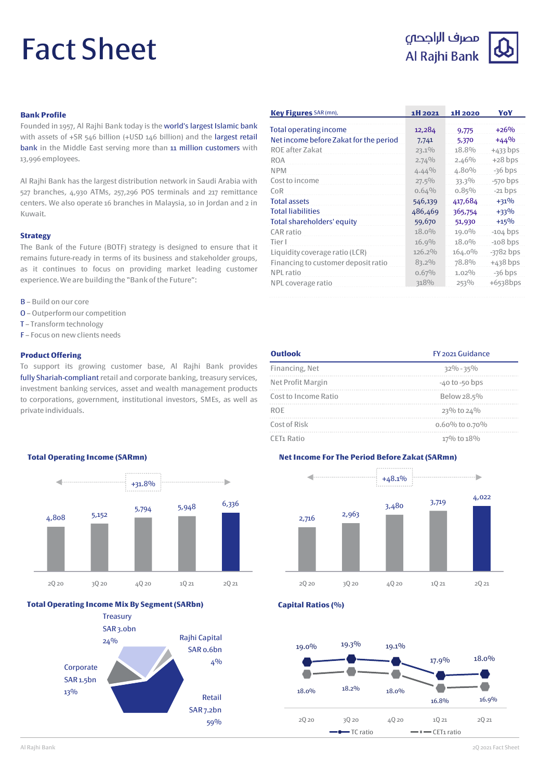# Fact Sheet





# **Bank Profile**

Founded in 1957, Al Rajhi Bank today is the world's largest Islamic bank with assets of +SR 546 billion (+USD 146 billion) and the largest retail bank in the Middle East serving more than 11 million customers with 13,996 employees.

Al Rajhi Bank has the largest distribution network in Saudi Arabia with 527 branches, 4,930 ATMs, 257,296 POS terminals and 217 remittance centers. We also operate 16 branches in Malaysia, 10 in Jordan and 2 in Kuwait.

#### **Strategy**

The Bank of the Future (BOTF) strategy is designed to ensure that it remains future-ready in terms of its business and stakeholder groups, as it continues to focus on providing market leading customer experience.We are building the "Bank of the Future":

- B Build on our core
- O Outperformour competition
- T Transform technology
- F Focus on new clients needs

#### **Product Offering**

To support its growing customer base, Al Rajhi Bank provides fully Shariah-compliant retail and corporate banking, treasury services, investment banking services, asset and wealth management products to corporations, government, institutional investors, SMEs, as well as private individuals.

| Key Figures SAR (mn),                  | 1H 2021  | 1H 2020   | YoY         |
|----------------------------------------|----------|-----------|-------------|
| Total operating income                 | 12,284   | 9,775     | $+26%$      |
| Net income before Zakat for the period | 7,741    | 5,370     | $+44\%$     |
| ROE after Zakat                        | $23.1\%$ | 18.8%     | $+433$ bps  |
| <b>ROA</b>                             | 2.74%    | 2.46%     | $+28$ bps   |
| <b>NPM</b>                             | $4.44\%$ | 4.80%     | $-36$ bps   |
| Cost to income                         | $27.5\%$ | 33.3%     | $-570$ bps  |
| CoR                                    | 0.64%    | 0.85%     | $-21$ bps   |
| <b>Total assets</b>                    | 546,139  | 417,684   | $+31%$      |
| <b>Total liabilities</b>               | 486,469  | 365,754   | $+33%$      |
| <b>Total shareholders' equity</b>      | 59,670   | 51,930    | $+15%$      |
| CAR ratio                              | $18.0\%$ | 19.0%     | $-104$ bps  |
| Tier I                                 | 16.9%    | $18.0\%$  | $-108$ bps  |
| Liquidity coverage ratio (LCR)         | 126.2%   | $164.0\%$ | $-3782$ bps |
| Financing to customer deposit ratio    | 83.2%    | 78.8%     | $+438$ bps  |
| NPL ratio                              | 0.67%    | $1.02\%$  | $-36$ bps   |
| NPL coverage ratio                     | 318%     | 253%      | $+6538$ bps |

| <b>Outlook</b>         | FY 2021 Guidance   |  |
|------------------------|--------------------|--|
| Financing, Net         | $32\% - 35\%$      |  |
| Net Profit Margin      | $-40$ to $-50$ bps |  |
| Cost to Income Ratio   | Below 28.5%        |  |
| <b>ROF</b>             | 23% to 24%         |  |
| Cost of Risk           | 0.60% to 0.70%     |  |
| CET <sub>1</sub> Ratio | 17% to 18%         |  |

#### **Total Operating Income (SARmn)**



#### **Total Operating Income Mix By Segment (SARbn)**







**Capital Ratios (%)**